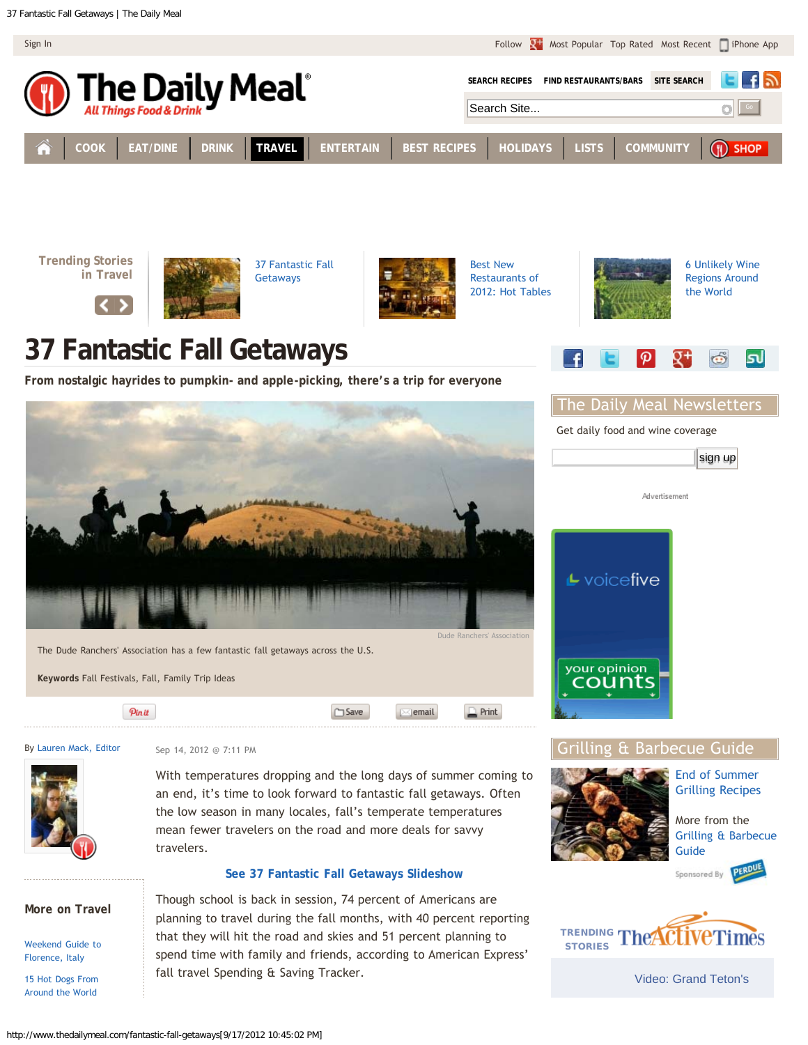<span id="page-0-1"></span><span id="page-0-0"></span>

**[COOK](http://www.thedailymeal.com/cook) [EAT/DINE](http://www.thedailymeal.com/eat) [DRINK](http://www.thedailymeal.com/drink) [TRAVEL](http://www.thedailymeal.com/travel) [ENTERTAIN](http://www.thedailymeal.com/entertain) [BEST RECIPES](http://www.thedailymeal.com/best-recipes) [HOLIDAYS](http://www.thedailymeal.com/holidays) [LISTS](http://www.thedailymeal.com/list) [COMMUNITY](http://www.thedailymeal.com/community)**





[37 Fantastic Fall](#page-0-0) [Getaways](#page-0-0)



[Best New](http://www.thedailymeal.com/best-new-restaurants-2012-hot-tables) [Restaurants of](http://www.thedailymeal.com/best-new-restaurants-2012-hot-tables) [2012: Hot Tables](http://www.thedailymeal.com/best-new-restaurants-2012-hot-tables)

 $\Box$  Print

 $\times$  email

## **37 Fantastic Fall Getaways**

**From nostalgic hayrides to pumpkin- and apple-picking, there's a trip for everyone**



**Keywords** Fall Festivals, Fall, Family Trip Ideas

Pinit

By [Lauren Mack, Editor](http://www.thedailymeal.com/users/lmack)



Sep 14, 2012 @ 7:11 PM

With temperatures dropping and the long days of summer coming to an end, it's time to look forward to fantastic fall getaways. Often the low season in many locales, fall's temperate temperatures mean fewer travelers on the road and more deals for savvy travelers.

 $\square$  Save

## **[See 37 Fantastic Fall Getaways Slideshow](http://www.thedailymeal.com/fantastic-fall-getaways-slideshow)**

Though school is back in session, 74 percent of Americans are planning to travel during the fall months, with 40 percent reporting that they will hit the road and skies and 51 percent planning to spend time with family and friends, according to American Express' fall travel Spending & Saving Tracker.

**More on Travel**

[Weekend Guide to](http://www.thedailymeal.com/weekend-guide-florence-italy) [Florence, Italy](http://www.thedailymeal.com/weekend-guide-florence-italy)

[15 Hot Dogs From](http://www.thedailymeal.com/15-hot-dogs-around-world) [Around the World](http://www.thedailymeal.com/15-hot-dogs-around-world)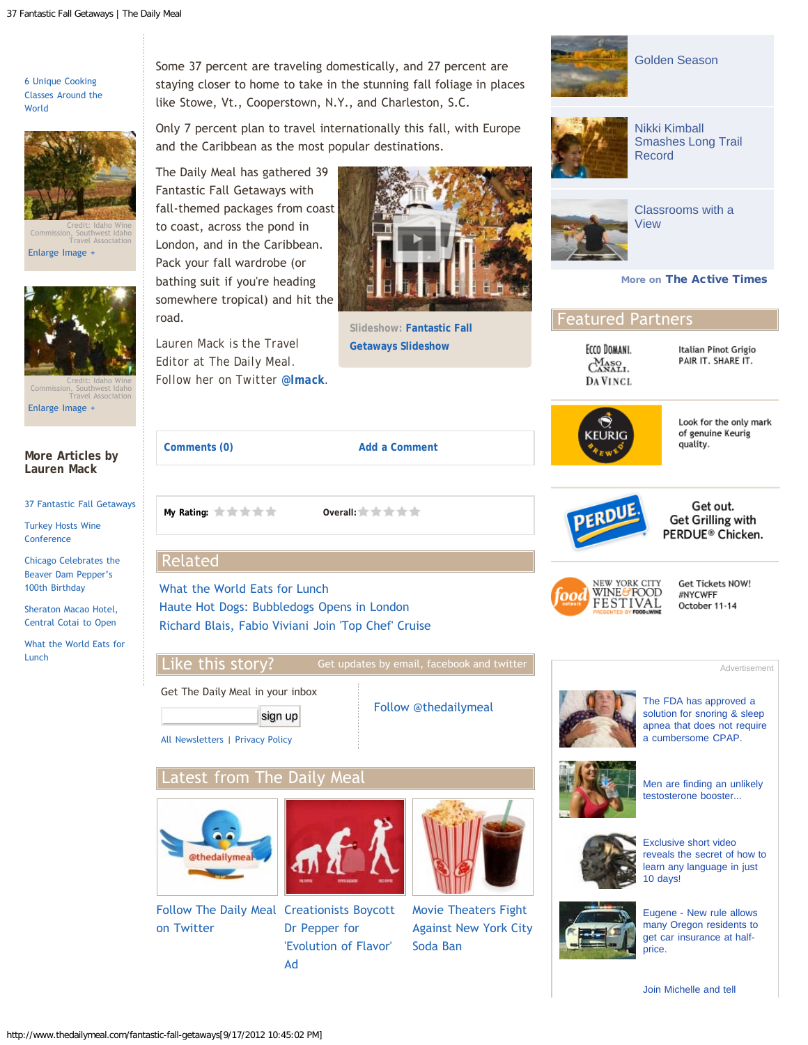[6 Unique Cooking](http://www.thedailymeal.com/6-unique-cooking-classes-around-world) [Classes Around the](http://www.thedailymeal.com/6-unique-cooking-classes-around-world) [World](http://www.thedailymeal.com/6-unique-cooking-classes-around-world)



Credit: Idaho Wine Commission, Southwest Idaho Travel Association

[Enlarge Image +](http://www.thedailymeal.com/sites/default/files/main_1_southwest_idaho_harvest_-_idaho_wine_commission_southwest_idaho_travel_association.jpg)



Credit: Idaho Wine Commission, Southwest Idaho Travel Association [Enlarge Image +](http://www.thedailymeal.com/sites/default/files/main_2_southwest_idaho_wine-_abe_blair_idaho_wine_commssion_southwest_idaho_travel_association.jpg)

Some 37 percent are traveling domestically, and 27 percent are staying closer to home to take in the stunning fall foliage in places like Stowe, Vt., Cooperstown, N.Y., and Charleston, S.C.

Only 7 percent plan to travel internationally this fall, with Europe and the Caribbean as the most popular destinations.

The Daily Meal has gathered 39 Fantastic Fall Getaways with fall-themed packages from coast to coast, across the pond in London, and in the Caribbean. Pack your fall wardrobe (or bathing suit if you're heading somewhere tropical) and hit the road.

*Lauren Mack is the Travel Editor at The Daily Meal. Follow her on Twitter [@lmack](http://www.twitter.com/lmack).*



**Slideshow: [Fantastic Fall](http://www.thedailymeal.com/fantastic-fall-getaways-slideshow) [Getaways Slideshow](http://www.thedailymeal.com/fantastic-fall-getaways-slideshow)**